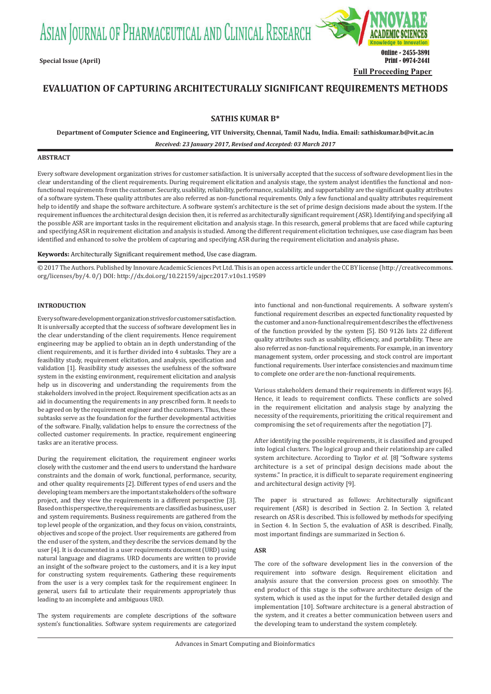ASIAN JOURNAL OF PHARMACEUTICAL AND CLINICAL RESEARCH



# **EVALUATION OF CAPTURING ARCHITECTURALLY SIGNIFICANT REQUIREMENTS METHODS**

# **SATHIS KUMAR B\***

**Department of Computer Science and Engineering, VIT University, Chennai, Tamil Nadu, India. Email: sathiskumar.b@vit.ac.in**

*Received: 23 January 2017, Revised and Accepted: 03 March 2017*

# **ABSTRACT**

Every software development organization strives for customer satisfaction. It is universally accepted that the success of software development lies in the clear understanding of the client requirements. During requirement elicitation and analysis stage, the system analyst identifies the functional and nonfunctional requirements from the customer. Security, usability, reliability, performance, scalability, and supportability are the significant quality attributes of a software system. These quality attributes are also referred as non-functional requirements. Only a few functional and quality attributes requirement help to identify and shape the software architecture. A software system's architecture is the set of prime design decisions made about the system. If the requirement influences the architectural design decision then, it is referred as architecturally significant requirement (ASR). Identifying and specifying all the possible ASR are important tasks in the requirement elicitation and analysis stage. In this research, general problems that are faced while capturing and specifying ASR in requirement elicitation and analysis is studied. Among the different requirement elicitation techniques, use case diagram has been identified and enhanced to solve the problem of capturing and specifying ASR during the requirement elicitation and analysis phase**.**

**Keywords:** Architecturally Significant requirement method, Use case diagram.

© 2017 The Authors. Published by Innovare Academic Sciences Pvt Ltd. This is an open access article under the CC BY license (http://creativecommons. org/licenses/by/4. 0/) DOI: http://dx.doi.org/10.22159/ajpcr.2017.v10s1.19589

# **INTRODUCTION**

Every software development organization strives for customer satisfaction. It is universally accepted that the success of software development lies in the clear understanding of the client requirements. Hence requirement engineering may be applied to obtain an in depth understanding of the client requirements, and it is further divided into 4 subtasks. They are a feasibility study, requirement elicitation, and analysis, specification and validation [1]. Feasibility study assesses the usefulness of the software system in the existing environment, requirement elicitation and analysis help us in discovering and understanding the requirements from the stakeholders involved in the project. Requirement specification acts as an aid in documenting the requirements in any prescribed form. It needs to be agreed on by the requirement engineer and the customers. Thus, these subtasks serve as the foundation for the further developmental activities of the software. Finally, validation helps to ensure the correctness of the collected customer requirements. In practice, requirement engineering tasks are an iterative process.

During the requirement elicitation, the requirement engineer works closely with the customer and the end users to understand the hardware constraints and the domain of work, functional, performance, security, and other quality requirements [2]. Different types of end users and the developing team members are the important stakeholders of the software project, and they view the requirements in a different perspective [3]. Based on this perspective, the requirements are classified as business, user and system requirements. Business requirements are gathered from the top level people of the organization, and they focus on vision, constraints, objectives and scope of the project. User requirements are gathered from the end user of the system, and they describe the services demand by the user [4]. It is documented in a user requirements document (URD) using natural language and diagrams. URD documents are written to provide an insight of the software project to the customers, and it is a key input for constructing system requirements. Gathering these requirements from the user is a very complex task for the requirement engineer. In general, users fail to articulate their requirements appropriately thus leading to an incomplete and ambiguous URD.

The system requirements are complete descriptions of the software system's functionalities. Software system requirements are categorized

into functional and non-functional requirements. A software system's functional requirement describes an expected functionality requested by the customer and a non-functional requirement describes the effectiveness of the function provided by the system [5]. ISO 9126 lists 22 different quality attributes such as usability, efficiency, and portability. These are also referred as non-functional requirements. For example, in an inventory management system, order processing, and stock control are important functional requirements. User interface consistencies and maximum time to complete one order are the non-functional requirements.

Various stakeholders demand their requirements in different ways [6]. Hence, it leads to requirement conflicts. These conflicts are solved in the requirement elicitation and analysis stage by analyzing the necessity of the requirements, prioritizing the critical requirement and compromising the set of requirements after the negotiation [7].

After identifying the possible requirements, it is classified and grouped into logical clusters. The logical group and their relationship are called system architecture. According to Taylor *et al.* [8] "Software systems architecture is a set of principal design decisions made about the systems." In practice, it is difficult to separate requirement engineering and architectural design activity [9].

The paper is structured as follows: Architecturally significant requirement (ASR) is described in Section 2. In Section 3, related research on ASR is described. This is followed by methods for specifying in Section 4. In Section 5, the evaluation of ASR is described. Finally, most important findings are summarized in Section 6.

#### **ASR**

The core of the software development lies in the conversion of the requirement into software design. Requirement elicitation and analysis assure that the conversion process goes on smoothly. The end product of this stage is the software architecture design of the system, which is used as the input for the further detailed design and implementation [10]. Software architecture is a general abstraction of the system, and it creates a better communication between users and the developing team to understand the system completely.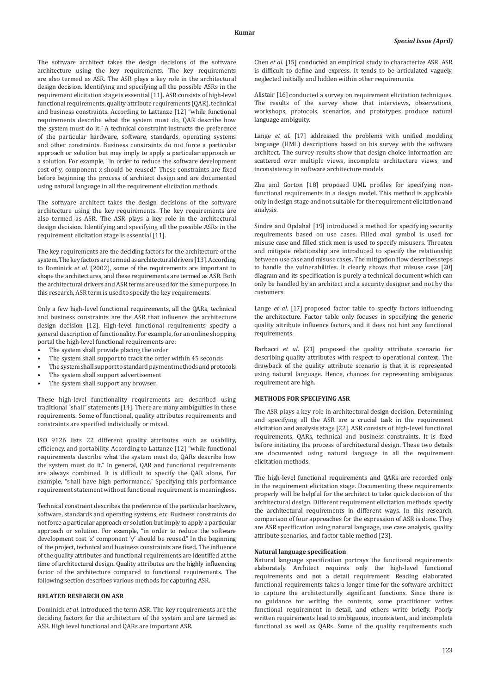The software architect takes the design decisions of the software architecture using the key requirements. The key requirements are also termed as ASR. The ASR plays a key role in the architectural design decision. Identifying and specifying all the possible ASRs in the requirement elicitation stage is essential [11]. ASR consists of high-level functional requirements, quality attribute requirements (QAR), technical and business constraints. According to Lattanze [12] "while functional requirements describe what the system must do, QAR describe how the system must do it." A technical constraint instructs the preference of the particular hardware, software, standards, operating systems and other constraints. Business constraints do not force a particular approach or solution but may imply to apply a particular approach or a solution. For example, "in order to reduce the software development cost of y, component x should be reused." These constraints are fixed before beginning the process of architect design and are documented using natural language in all the requirement elicitation methods.

The software architect takes the design decisions of the software architecture using the key requirements. The key requirements are also termed as ASR. The ASR plays a key role in the architectural design decision. Identifying and specifying all the possible ASRs in the requirement elicitation stage is essential [11].

The key requirements are the deciding factors for the architecture of the system. The key factors are termed as architectural drivers [13]. According to Dominick *et al.* (2002), some of the requirements are important to shape the architectures, and these requirements are termed as ASR. Both the architectural drivers and ASR terms are used for the same purpose. In this research, ASR term is used to specify the key requirements.

Only a few high-level functional requirements, all the QARs, technical and business constraints are the ASR that influence the architecture design decision [12]. High-level functional requirements specify a general description of functionality. For example, for an online shopping portal the high-level functional requirements are:

- The system shall provide placing the order
- The system shall support to track the order within 45 seconds
- The system shall support to standard payment methods and protocols
- The system shall support advertisement
- The system shall support any browser.

These high-level functionality requirements are described using traditional "shall" statements [14]. There are many ambiguities in these requirements. Some of functional, quality attributes requirements and constraints are specified individually or mixed.

ISO 9126 lists 22 different quality attributes such as usability, efficiency, and portability. According to Lattanze [12] "while functional requirements describe what the system must do, QARs describe how the system must do it." In general, QAR and functional requirements are always combined. It is difficult to specify the QAR alone. For example, "shall have high performance." Specifying this performance requirement statement without functional requirement is meaningless.

Technical constraint describes the preference of the particular hardware, software, standards and operating systems, etc. Business constraints do not force a particular approach or solution but imply to apply a particular approach or solution. For example, "in order to reduce the software development cost 'x' component 'y' should be reused." In the beginning of the project, technical and business constraints are fixed. The influence of the quality attributes and functional requirements are identified at the time of architectural design. Quality attributes are the highly influencing factor of the architecture compared to functional requirements. The following section describes various methods for capturing ASR.

### **RELATED RESEARCH ON ASR**

Dominick *et al*. introduced the term ASR. The key requirements are the deciding factors for the architecture of the system and are termed as ASR. High level functional and QARs are important ASR.

Chen *et al*. [15] conducted an empirical study to characterize ASR. ASR is difficult to define and express. It tends to be articulated vaguely, neglected initially and hidden within other requirements.

Alistair [16] conducted a survey on requirement elicitation techniques. The results of the survey show that interviews, observations, workshops, protocols, scenarios, and prototypes produce natural language ambiguity.

Lange *et al*. [17] addressed the problems with unified modeling language (UML) descriptions based on his survey with the software architect. The survey results show that design choice information are scattered over multiple views, incomplete architecture views, and inconsistency in software architecture models.

Zhu and Gorton [18] proposed UML profiles for specifying nonfunctional requirements in a design model. This method is applicable only in design stage and not suitable for the requirement elicitation and analysis.

Sindre and Opdahal [19] introduced a method for specifying security requirements based on use cases. Filled oval symbol is used for misuse case and filled stick men is used to specify misusers. Threaten and mitigate relationship are introduced to specify the relationship between use case and misuse cases. The mitigation flow describes steps to handle the vulnerabilities. It clearly shows that misuse case [20] diagram and its specification is purely a technical document which can only be handled by an architect and a security designer and not by the customers.

Lange *et al*. [17] proposed factor table to specify factors influencing the architecture. Factor table only focuses in specifying the generic quality attribute influence factors, and it does not hint any functional requirements.

Barbacci *et al*. [21] proposed the quality attribute scenario for describing quality attributes with respect to operational context. The drawback of the quality attribute scenario is that it is represented using natural language. Hence, chances for representing ambiguous requirement are high.

# **METHODS FOR SPECIFYING ASR**

The ASR plays a key role in architectural design decision. Determining and specifying all the ASR are a crucial task in the requirement elicitation and analysis stage [22]. ASR consists of high-level functional requirements, QARs, technical and business constraints. It is fixed before initiating the process of architectural design. These two details are documented using natural language in all the requirement elicitation methods.

The high-level functional requirements and QARs are recorded only in the requirement elicitation stage. Documenting these requirements properly will be helpful for the architect to take quick decision of the architectural design. Different requirement elicitation methods specify the architectural requirements in different ways. In this research, comparison of four approaches for the expression of ASR is done. They are ASR specification using natural language, use case analysis, quality attribute scenarios, and factor table method [23].

# **Natural language specification**

Natural language specification portrays the functional requirements elaborately. Architect requires only the high-level functional requirements and not a detail requirement. Reading elaborated functional requirements takes a longer time for the software architect to capture the architecturally significant functions. Since there is no guidance for writing the contents, some practitioner writes functional requirement in detail, and others write briefly. Poorly written requirements lead to ambiguous, inconsistent, and incomplete functional as well as QARs. Some of the quality requirements such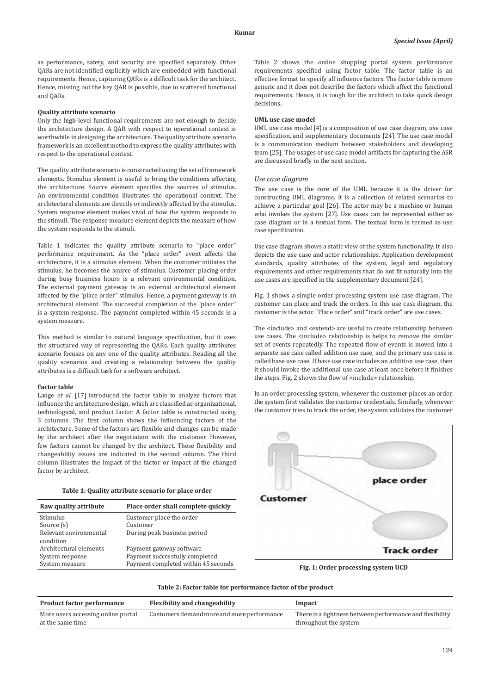as performance, safety, and security are specified separately. Other QARs are not identified explicitly which are embedded with functional requirements. Hence, capturing QARs is a difficult task for the architect. Hence, missing out the key QAR is possible, due to scattered functional and QARs.

### **Quality attribute scenario**

Only the high-level functional requirements are not enough to decide the architecture design. A QAR with respect to operational context is worthwhile in designing the architecture. The quality attribute scenario framework is an excellent method to express the quality attributes with respect to the operational context.

The quality attribute scenario is constructed using the set of framework elements. Stimulus element is useful to bring the conditions affecting the architecture. Source element specifies the sources of stimulus. An environmental condition illustrates the operational context. The architectural elements are directly or indirectly affected by the stimulus. System response element makes vivid of how the system responds to the stimuli. The response measure element depicts the measure of how the system responds to the stimuli.

Table 1 indicates the quality attribute scenario to "place order" performance requirement. As the "place order" event affects the architecture, it is a stimulus element. When the customer initiates the stimulus, he becomes the source of stimulus. Customer placing order during busy business hours is a relevant environmental condition. The external payment gateway is an external architectural element affected by the "place order" stimulus. Hence, a payment gateway is an architectural element. The successful completion of the "place order" is a system response. The payment completed within 45 seconds is a system measure.

This method is similar to natural language specification, but it uses the structured way of representing the QARs. Each quality attributes scenario focuses on any one of the quality attributes. Reading all the quality scenarios and creating a relationship between the quality attributes is a difficult task for a software architect.

#### **Factor table**

Lange *et al*. [17] introduced the factor table to analyze factors that influence the architecture design, which are classified as organizational, technological, and product factor. A factor table is constructed using 3 columns. The first column shows the influencing factors of the architecture. Some of the factors are flexible and changes can be made by the architect after the negotiation with the customer. However, few factors cannot be changed by the architect. These flexibility and changeability issues are indicated in the second column. The third column illustrates the impact of the factor or impact of the changed factor by architect.

## **Table 1: Quality attribute scenario for place order**

| Raw quality attribute  | Place order shall complete quickly  |
|------------------------|-------------------------------------|
| Stimulus               | Customer place the order            |
| Source (s)             | Customer                            |
| Relevant environmental | During peak business period         |
| condition              |                                     |
| Architectural elements | Payment gateway software            |
| System response        | Payment successfully completed      |
| System measure         | Payment completed within 45 seconds |
|                        |                                     |

Table 2 shows the online shopping portal system performance requirements specified using factor table. The factor table is an effective format to specify all influence factors. The factor table is more generic and it does not describe the factors which affect the functional requirements. Hence, it is tough for the architect to take quick design decisions.

#### **UML use case model**

UML use case model [4]is a composition of use case diagram, use case specification, and supplementary documents [24]. The use case model is a communication medium between stakeholders and developing team [25]. The usages of use case model artifacts for capturing the ASR are discussed briefly in the next section.

#### *Use case diagram*

The use case is the core of the UML because it is the driver for constructing UML diagrams. It is a collection of related scenarios to achieve a particular goal [26]. The actor may be a machine or human who invokes the system [27]. Use cases can be represented either as case diagram or in a textual form. The textual form is termed as use case specification.

Use case diagram shows a static view of the system functionality. It also depicts the use case and actor relationships. Application development standards, quality attributes of the system, legal and regulatory requirements and other requirements that do not fit naturally into the use cases are specified in the supplementary document [24].

Fig. 1 shows a simple order processing system use case diagram. The customer can place and track the orders. In this use case diagram, the customer is the actor. "Place order" and "track order" are use cases.

The <include> and <extend> are useful to create relationship between use cases. The <include> relationship is helps to remove the similar set of events repeatedly. The repeated flow of events is moved into a separate use case called addition use case, and the primary use case is called base use case. If base use case includes an addition use case, then it should invoke the additional use case at least once before it finishes the steps. Fig. 2 shows the flow of <include> relationship.

In an order processing system, whenever the customer places an order, the system first validates the customer credentials. Similarly, whenever the customer tries to track the order, the system validates the customer



**Fig. 1: Order processing system UCD**

#### **Table 2: Factor table for performance factor of the product**

| <b>Product factor performance</b>  | <b>Flexibility and changeability</b>       | Impact                                                   |  |
|------------------------------------|--------------------------------------------|----------------------------------------------------------|--|
| More users accessing online portal | Customers demand more and more performance | There is a tightness between performance and flexibility |  |
| at the same time                   |                                            | throughout the system                                    |  |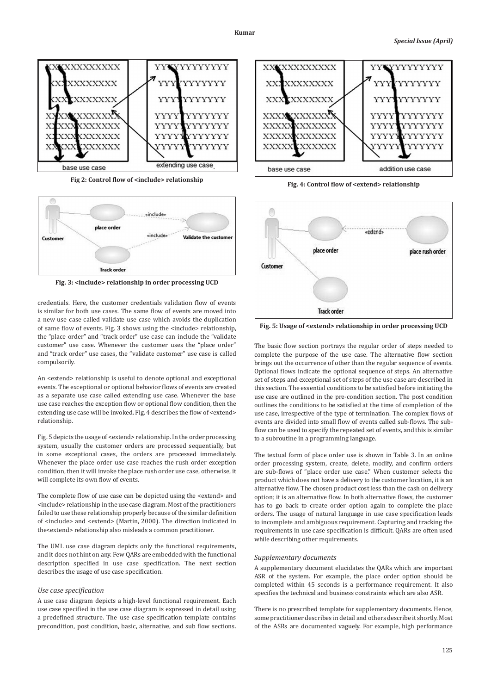

**Fig 2: Control flow of <include> relationship**



**Fig. 3: <include> relationship in order processing UCD**

credentials. Here, the customer credentials validation flow of events is similar for both use cases. The same flow of events are moved into a new use case called validate use case which avoids the duplication of same flow of events. Fig. 3 shows using the <include> relationship, the "place order" and "track order" use case can include the "validate customer" use case. Whenever the customer uses the "place order" and "track order" use cases, the "validate customer" use case is called compulsorily.

An <extend> relationship is useful to denote optional and exceptional events. The exceptional or optional behavior flows of events are created as a separate use case called extending use case. Whenever the base use case reaches the exception flow or optional flow condition, then the extending use case will be invoked. Fig. 4 describes the flow of <extend> relationship.

Fig. 5 depicts the usage of <extend> relationship. In the order processing system, usually the customer orders are processed sequentially, but in some exceptional cases, the orders are processed immediately. Whenever the place order use case reaches the rush order exception condition, then it will invoke the place rush order use case, otherwise, it will complete its own flow of events.

The complete flow of use case can be depicted using the <extend> and <include> relationship in the use case diagram. Most of the practitioners failed to use these relationship properly because of the similar definition of <include> and <extend> (Martin, 2000). The direction indicated in the<extend> relationship also misleads a common practitioner.

The UML use case diagram depicts only the functional requirements, and it does not hint on any. Few QARs are embedded with the functional description specified in use case specification. The next section describes the usage of use case specification.

# *Use case specification*

A use case diagram depicts a high-level functional requirement. Each use case specified in the use case diagram is expressed in detail using a predefined structure. The use case specification template contains precondition, post condition, basic, alternative, and sub flow sections.



**Fig. 4: Control flow of <extend> relationship**



**Fig. 5: Usage of <extend> relationship in order processing UCD**

The basic flow section portrays the regular order of steps needed to complete the purpose of the use case. The alternative flow section brings out the occurrence of other than the regular sequence of events. Optional flows indicate the optional sequence of steps. An alternative set of steps and exceptional set of steps of the use case are described in this section. The essential conditions to be satisfied before initiating the use case are outlined in the pre-condition section. The post condition outlines the conditions to be satisfied at the time of completion of the use case, irrespective of the type of termination. The complex flows of events are divided into small flow of events called sub-flows. The subflow can be used to specify the repeated set of events, and this is similar to a subroutine in a programming language.

The textual form of place order use is shown in Table 3. In an online order processing system, create, delete, modify, and confirm orders are sub-flows of "place order use case." When customer selects the product which does not have a delivery to the customer location, it is an alternative flow. The chosen product cost less than the cash on delivery option; it is an alternative flow. In both alternative flows, the customer has to go back to create order option again to complete the place orders. The usage of natural language in use case specification leads to incomplete and ambiguous requirement. Capturing and tracking the requirements in use case specification is difficult. QARs are often used while describing other requirements.

#### *Supplementary documents*

A supplementary document elucidates the QARs which are important ASR of the system. For example, the place order option should be completed within 45 seconds is a performance requirement. It also specifies the technical and business constraints which are also ASR.

There is no prescribed template for supplementary documents. Hence, some practitioner describes in detail and others describe it shortly. Most of the ASRs are documented vaguely. For example, high performance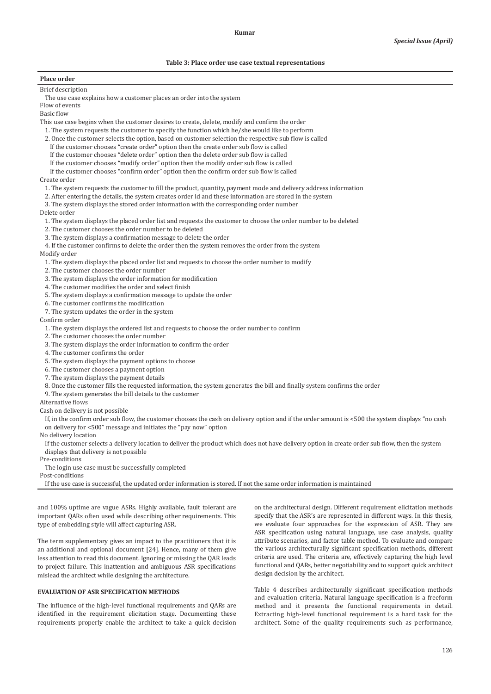## **Table 3: Place order use case textual representations**

# **Place order**

Brief description

The use case explains how a customer places an order into the system

Flow of events

Basic flow

This use case begins when the customer desires to create, delete, modify and confirm the order

- 1. The system requests the customer to specify the function which he/she would like to perform
- 2. Once the customer selects the option, based on customer selection the respective sub flow is called
	- If the customer chooses "create order" option then the create order sub flow is called
	- If the customer chooses "delete order" option then the delete order sub flow is called
	- If the customer chooses "modify order" option then the modify order sub flow is called

If the customer chooses "confirm order" option then the confirm order sub flow is called

Create order

- 1. The system requests the customer to fill the product, quantity, payment mode and delivery address information
- 2. After entering the details, the system creates order id and these information are stored in the system

3. The system displays the stored order information with the corresponding order number

Delete order

1. The system displays the placed order list and requests the customer to choose the order number to be deleted

- 2. The customer chooses the order number to be deleted
- 3. The system displays a confirmation message to delete the order

4. If the customer confirms to delete the order then the system removes the order from the system Modify order

1. The system displays the placed order list and requests to choose the order number to modify

2. The customer chooses the order number

3. The system displays the order information for modification

4. The customer modifies the order and select finish

5. The system displays a confirmation message to update the order

6. The customer confirms the modification

7. The system updates the order in the system

Confirm order

- 1. The system displays the ordered list and requests to choose the order number to confirm
- 2. The customer chooses the order number
- 3. The system displays the order information to confirm the order
- 4. The customer confirms the order
- 5. The system displays the payment options to choose
- 6. The customer chooses a payment option
- 7. The system displays the payment details
- 8. Once the customer fills the requested information, the system generates the bill and finally system confirms the order
- 9. The system generates the bill details to the customer

Alternative flows

Cash on delivery is not possible

If, in the confirm order sub flow, the customer chooses the cash on delivery option and if the order amount is <500 the system displays "no cash on delivery for <500" message and initiates the "pay now" option

No delivery location

If the customer selects a delivery location to deliver the product which does not have delivery option in create order sub flow, then the system displays that delivery is not possible

Pre-conditions

The login use case must be successfully completed

Post-conditions

If the use case is successful, the updated order information is stored. If not the same order information is maintained

and 100% uptime are vague ASRs. Highly available, fault tolerant are important QARs often used while describing other requirements. This type of embedding style will affect capturing ASR.

The term supplementary gives an impact to the practitioners that it is an additional and optional document [24]. Hence, many of them give less attention to read this document. Ignoring or missing the QAR leads to project failure. This inattention and ambiguous ASR specifications mislead the architect while designing the architecture.

#### **EVALUATION OF ASR SPECIFICATION METHODS**

The influence of the high-level functional requirements and QARs are identified in the requirement elicitation stage. Documenting these requirements properly enable the architect to take a quick decision on the architectural design. Different requirement elicitation methods specify that the ASR's are represented in different ways. In this thesis, we evaluate four approaches for the expression of ASR. They are ASR specification using natural language, use case analysis, quality attribute scenarios, and factor table method. To evaluate and compare the various architecturally significant specification methods, different criteria are used. The criteria are, effectively capturing the high level functional and QARs, better negotiability and to support quick architect design decision by the architect.

Table 4 describes architecturally significant specification methods and evaluation criteria. Natural language specification is a freeform method and it presents the functional requirements in detail. Extracting high-level functional requirement is a hard task for the architect. Some of the quality requirements such as performance,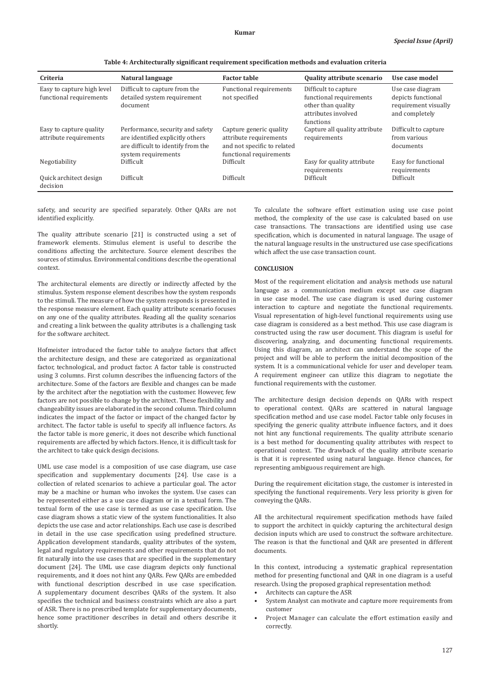| Criteria                                              | Natural language                                                                                                                  | <b>Factor table</b>                                                                                         | <b>Quality attribute scenario</b>                                                                         | Use case model                                                                   |
|-------------------------------------------------------|-----------------------------------------------------------------------------------------------------------------------------------|-------------------------------------------------------------------------------------------------------------|-----------------------------------------------------------------------------------------------------------|----------------------------------------------------------------------------------|
| Easy to capture high level<br>functional requirements | Difficult to capture from the<br>detailed system requirement<br>document                                                          | Functional requirements<br>not specified                                                                    | Difficult to capture<br>functional requirements<br>other than quality<br>attributes involved<br>functions | Use case diagram<br>depicts functional<br>requirement visually<br>and completely |
| Easy to capture quality<br>attribute requirements     | Performance, security and safety<br>are identified explicitly others<br>are difficult to identify from the<br>system requirements | Capture generic quality<br>attribute requirements<br>and not specific to related<br>functional requirements | Capture all quality attribute<br>requirements                                                             | Difficult to capture<br>from various<br>documents                                |
| Negotiability                                         | Difficult.                                                                                                                        | Difficult                                                                                                   | Easy for quality attribute<br>requirements                                                                | Easy for functional<br>requirements                                              |
| Quick architect design<br>decision                    | Difficult                                                                                                                         | Difficult                                                                                                   | Difficult                                                                                                 | Difficult                                                                        |

**Table 4: Architecturally significant requirement specification methods and evaluation criteria**

safety, and security are specified separately. Other QARs are not identified explicitly.

The quality attribute scenario [21] is constructed using a set of framework elements. Stimulus element is useful to describe the conditions affecting the architecture. Source element describes the sources of stimulus. Environmental conditions describe the operational context.

The architectural elements are directly or indirectly affected by the stimulus. System response element describes how the system responds to the stimuli. The measure of how the system responds is presented in the response measure element. Each quality attribute scenario focuses on any one of the quality attributes. Reading all the quality scenarios and creating a link between the quality attributes is a challenging task for the software architect.

Hofmeister introduced the factor table to analyze factors that affect the architecture design, and these are categorized as organizational factor, technological, and product factor. A factor table is constructed using 3 columns. First column describes the influencing factors of the architecture. Some of the factors are flexible and changes can be made by the architect after the negotiation with the customer. However, few factors are not possible to change by the architect. These flexibility and changeability issues are elaborated in the second column. Third column indicates the impact of the factor or impact of the changed factor by architect. The factor table is useful to specify all influence factors. As the factor table is more generic, it does not describe which functional requirements are affected by which factors. Hence, it is difficult task for the architect to take quick design decisions.

UML use case model is a composition of use case diagram, use case specification and supplementary documents [24]. Use case is a collection of related scenarios to achieve a particular goal. The actor may be a machine or human who invokes the system. Use cases can be represented either as a use case diagram or in a textual form. The textual form of the use case is termed as use case specification. Use case diagram shows a static view of the system functionalities. It also depicts the use case and actor relationships. Each use case is described in detail in the use case specification using predefined structure. Application development standards, quality attributes of the system, legal and regulatory requirements and other requirements that do not fit naturally into the use cases that are specified in the supplementary document [24]. The UML use case diagram depicts only functional requirements, and it does not hint any QARs. Few QARs are embedded with functional description described in use case specification. A supplementary document describes QARs of the system. It also specifies the technical and business constraints which are also a part of ASR. There is no prescribed template for supplementary documents, hence some practitioner describes in detail and others describe it shortly.

To calculate the software effort estimation using use case point method, the complexity of the use case is calculated based on use case transactions. The transactions are identified using use case specification, which is documented in natural language. The usage of the natural language results in the unstructured use case specifications which affect the use case transaction count.

# **CONCLUSION**

Most of the requirement elicitation and analysis methods use natural language as a communication medium except use case diagram in use case model. The use case diagram is used during customer interaction to capture and negotiate the functional requirements. Visual representation of high-level functional requirements using use case diagram is considered as a best method. This use case diagram is constructed using the raw user document. This diagram is useful for discovering, analyzing, and documenting functional requirements. Using this diagram, an architect can understand the scope of the project and will be able to perform the initial decomposition of the system. It is a communicational vehicle for user and developer team. A requirement engineer can utilize this diagram to negotiate the functional requirements with the customer.

The architecture design decision depends on QARs with respect to operational context. QARs are scattered in natural language specification method and use case model. Factor table only focuses in specifying the generic quality attribute influence factors, and it does not hint any functional requirements. The quality attribute scenario is a best method for documenting quality attributes with respect to operational context. The drawback of the quality attribute scenario is that it is represented using natural language. Hence chances, for representing ambiguous requirement are high.

During the requirement elicitation stage, the customer is interested in specifying the functional requirements. Very less priority is given for conveying the QARs.

All the architectural requirement specification methods have failed to support the architect in quickly capturing the architectural design decision inputs which are used to construct the software architecture. The reason is that the functional and QAR are presented in different documents.

In this context, introducing a systematic graphical representation method for presenting functional and QAR in one diagram is a useful research. Using the proposed graphical representation method:

- Architects can capture the ASR
- System Analyst can motivate and capture more requirements from customer
- Project Manager can calculate the effort estimation easily and correctly.